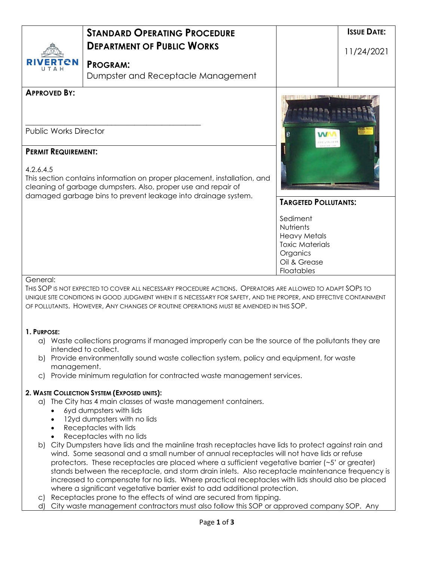|                                                                                                                                                                                                                                                                                                                                                                                                                                                                                                                                                                                                                                                                                 | <b>STANDARD OPERATING PROCEDURE</b>                                                                                                                                                                                                                                                                                       |                                                                                                                  | <b>ISSUE DATE:</b> |  |  |
|---------------------------------------------------------------------------------------------------------------------------------------------------------------------------------------------------------------------------------------------------------------------------------------------------------------------------------------------------------------------------------------------------------------------------------------------------------------------------------------------------------------------------------------------------------------------------------------------------------------------------------------------------------------------------------|---------------------------------------------------------------------------------------------------------------------------------------------------------------------------------------------------------------------------------------------------------------------------------------------------------------------------|------------------------------------------------------------------------------------------------------------------|--------------------|--|--|
|                                                                                                                                                                                                                                                                                                                                                                                                                                                                                                                                                                                                                                                                                 | <b>DEPARTMENT OF PUBLIC WORKS</b>                                                                                                                                                                                                                                                                                         |                                                                                                                  | 11/24/2021         |  |  |
| TCN<br>T A H                                                                                                                                                                                                                                                                                                                                                                                                                                                                                                                                                                                                                                                                    | <b>PROGRAM:</b><br>Dumpster and Receptacle Management                                                                                                                                                                                                                                                                     |                                                                                                                  |                    |  |  |
| <b>APPROVED BY:</b>                                                                                                                                                                                                                                                                                                                                                                                                                                                                                                                                                                                                                                                             |                                                                                                                                                                                                                                                                                                                           |                                                                                                                  |                    |  |  |
| <b>Public Works Director</b>                                                                                                                                                                                                                                                                                                                                                                                                                                                                                                                                                                                                                                                    |                                                                                                                                                                                                                                                                                                                           |                                                                                                                  |                    |  |  |
| <b>PERMIT REQUIREMENT:</b><br>4.2.6.4.5<br>This section contains information on proper placement, installation, and<br>cleaning of garbage dumpsters. Also, proper use and repair of<br>damaged garbage bins to prevent leakage into drainage system.                                                                                                                                                                                                                                                                                                                                                                                                                           |                                                                                                                                                                                                                                                                                                                           |                                                                                                                  |                    |  |  |
|                                                                                                                                                                                                                                                                                                                                                                                                                                                                                                                                                                                                                                                                                 |                                                                                                                                                                                                                                                                                                                           | <b>TARGETED POLLUTANTS:</b>                                                                                      |                    |  |  |
|                                                                                                                                                                                                                                                                                                                                                                                                                                                                                                                                                                                                                                                                                 |                                                                                                                                                                                                                                                                                                                           | Sediment<br>Nutrients<br><b>Heavy Metals</b><br><b>Toxic Materials</b><br>Organics<br>Oil & Grease<br>Floatables |                    |  |  |
| General:                                                                                                                                                                                                                                                                                                                                                                                                                                                                                                                                                                                                                                                                        | THIS SOP IS NOT EXPECTED TO COVER ALL NECESSARY PROCEDURE ACTIONS. OPERATORS ARE ALLOWED TO ADAPT SOPS TO<br>UNIQUE SITE CONDITIONS IN GOOD JUDGMENT WHEN IT IS NECESSARY FOR SAFETY, AND THE PROPER, AND EFFECTIVE CONTAINMENT<br>OF POLLUTANTS. HOWEVER, ANY CHANGES OF ROUTINE OPERATIONS MUST BE AMENDED IN THIS SOP. |                                                                                                                  |                    |  |  |
| 1. PURPOSE:<br>a)                                                                                                                                                                                                                                                                                                                                                                                                                                                                                                                                                                                                                                                               |                                                                                                                                                                                                                                                                                                                           |                                                                                                                  |                    |  |  |
| Waste collections programs if managed improperly can be the source of the pollutants they are<br>intended to collect.<br>Provide environmentally sound waste collection system, policy and equipment, for waste<br>b)                                                                                                                                                                                                                                                                                                                                                                                                                                                           |                                                                                                                                                                                                                                                                                                                           |                                                                                                                  |                    |  |  |
|                                                                                                                                                                                                                                                                                                                                                                                                                                                                                                                                                                                                                                                                                 | management.<br>c) Provide minimum regulation for contracted waste management services.                                                                                                                                                                                                                                    |                                                                                                                  |                    |  |  |
| $\bullet$<br>$\bullet$                                                                                                                                                                                                                                                                                                                                                                                                                                                                                                                                                                                                                                                          | 2. WASTE COLLECTION SYSTEM (EXPOSED UNITS):<br>a) The City has 4 main classes of waste management containers.<br>6yd dumpsters with lids<br>12yd dumpsters with no lids<br>Receptacles with lids<br>Receptacles with no lids                                                                                              |                                                                                                                  |                    |  |  |
| b) City Dumpsters have lids and the mainline trash receptacles have lids to protect against rain and<br>wind. Some seasonal and a small number of annual receptacles will not have lids or refuse<br>protectors. These receptacles are placed where a sufficient vegetative barrier (~5' or greater)<br>stands between the receptacle, and storm drain inlets. Also receptacle maintenance frequency is<br>increased to compensate for no lids. Where practical receptacles with lids should also be placed<br>where a significant vegetative barrier exist to add additional protection.<br>Receptacles prone to the effects of wind are secured from tipping.<br>$\mathsf{C}$ |                                                                                                                                                                                                                                                                                                                           |                                                                                                                  |                    |  |  |
| d)                                                                                                                                                                                                                                                                                                                                                                                                                                                                                                                                                                                                                                                                              | City waste management contractors must also follow this SOP or approved company SOP. Any<br>Page 1 of 3                                                                                                                                                                                                                   |                                                                                                                  |                    |  |  |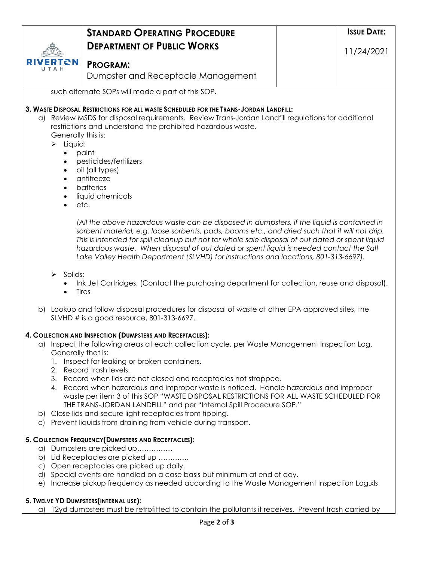|                                                                                                                     | <b>STANDARD OPERATING PROCEDURE</b>                                                                                                                                                          |  | <b>ISSUE DATE:</b> |  |  |  |  |
|---------------------------------------------------------------------------------------------------------------------|----------------------------------------------------------------------------------------------------------------------------------------------------------------------------------------------|--|--------------------|--|--|--|--|
|                                                                                                                     | <b>DEPARTMENT OF PUBLIC WORKS</b>                                                                                                                                                            |  | 11/24/2021         |  |  |  |  |
| ERTCN                                                                                                               | <b>PROGRAM:</b>                                                                                                                                                                              |  |                    |  |  |  |  |
|                                                                                                                     | Dumpster and Receptacle Management                                                                                                                                                           |  |                    |  |  |  |  |
|                                                                                                                     | such alternate SOPs will made a part of this SOP.                                                                                                                                            |  |                    |  |  |  |  |
|                                                                                                                     | 3. WASTE DISPOSAL RESTRICTIONS FOR ALL WASTE SCHEDULED FOR THE TRANS-JORDAN LANDFILL:                                                                                                        |  |                    |  |  |  |  |
|                                                                                                                     | a) Review MSDS for disposal requirements. Review Trans-Jordan Landfill regulations for additional                                                                                            |  |                    |  |  |  |  |
|                                                                                                                     | restrictions and understand the prohibited hazardous waste.<br>Generally this is:                                                                                                            |  |                    |  |  |  |  |
| $\triangleright$ Liquid:                                                                                            |                                                                                                                                                                                              |  |                    |  |  |  |  |
| $\bullet$                                                                                                           | paint                                                                                                                                                                                        |  |                    |  |  |  |  |
| $\bullet$<br>$\bullet$                                                                                              | pesticides/fertilizers<br>oil (all types)                                                                                                                                                    |  |                    |  |  |  |  |
| $\bullet$                                                                                                           | antifreeze                                                                                                                                                                                   |  |                    |  |  |  |  |
| $\bullet$                                                                                                           | batteries                                                                                                                                                                                    |  |                    |  |  |  |  |
| $\bullet$                                                                                                           | liquid chemicals<br>etc.                                                                                                                                                                     |  |                    |  |  |  |  |
|                                                                                                                     |                                                                                                                                                                                              |  |                    |  |  |  |  |
|                                                                                                                     | (All the above hazardous waste can be disposed in dumpsters, if the liquid is contained in<br>sorbent material, e.g. loose sorbents, pads, booms etc., and dried such that it will not drip. |  |                    |  |  |  |  |
|                                                                                                                     | This is intended for spill cleanup but not for whole sale disposal of out dated or spent liquid                                                                                              |  |                    |  |  |  |  |
|                                                                                                                     | hazardous waste. When disposal of out dated or spent liquid is needed contact the Salt                                                                                                       |  |                    |  |  |  |  |
|                                                                                                                     | Lake Valley Health Department (SLVHD) for instructions and locations, 801-313-6697).                                                                                                         |  |                    |  |  |  |  |
| Solids:<br>➤                                                                                                        |                                                                                                                                                                                              |  |                    |  |  |  |  |
| Ink Jet Cartridges. (Contact the purchasing department for collection, reuse and disposal).<br>Tires                |                                                                                                                                                                                              |  |                    |  |  |  |  |
|                                                                                                                     |                                                                                                                                                                                              |  |                    |  |  |  |  |
|                                                                                                                     | b) Lookup and follow disposal procedures for disposal of waste at other EPA approved sites, the<br>SLVHD $\#$ is a good resource, 801-313-6697.                                              |  |                    |  |  |  |  |
|                                                                                                                     |                                                                                                                                                                                              |  |                    |  |  |  |  |
|                                                                                                                     | 4. COLLECTION AND INSPECTION (DUMPSTERS AND RECEPTACLES):                                                                                                                                    |  |                    |  |  |  |  |
| a) Inspect the following areas at each collection cycle, per Waste Management Inspection Log.<br>Generally that is: |                                                                                                                                                                                              |  |                    |  |  |  |  |
| 1.                                                                                                                  | Inspect for leaking or broken containers.                                                                                                                                                    |  |                    |  |  |  |  |
|                                                                                                                     | 2. Record trash levels.                                                                                                                                                                      |  |                    |  |  |  |  |
|                                                                                                                     | 3. Record when lids are not closed and receptacles not strapped.<br>4. Record when hazardous and improper waste is noticed. Handle hazardous and improper                                    |  |                    |  |  |  |  |
|                                                                                                                     | waste per item 3 of this SOP "WASTE DISPOSAL RESTRICTIONS FOR ALL WASTE SCHEDULED FOR                                                                                                        |  |                    |  |  |  |  |
|                                                                                                                     | THE TRANS-JORDAN LANDFILL" and per "Internal Spill Procedure SOP."<br>b) Close lids and secure light receptacles from tipping.                                                               |  |                    |  |  |  |  |
| $\mathsf{C}$                                                                                                        | Prevent liquids from draining from vehicle during transport.                                                                                                                                 |  |                    |  |  |  |  |
|                                                                                                                     | 5. COLLECTION FREQUENCY (DUMPSTERS AND RECEPTACLES):                                                                                                                                         |  |                    |  |  |  |  |
| a) Dumpsters are picked up                                                                                          |                                                                                                                                                                                              |  |                    |  |  |  |  |
|                                                                                                                     | b) Lid Receptacles are picked up<br>c) Open receptacles are picked up daily.                                                                                                                 |  |                    |  |  |  |  |
| d) Special events are handled on a case basis but minimum at end of day.                                            |                                                                                                                                                                                              |  |                    |  |  |  |  |
| e)                                                                                                                  | Increase pickup frequency as needed according to the Waste Management Inspection Log.xls                                                                                                     |  |                    |  |  |  |  |
|                                                                                                                     | 5. TWELVE YD DUMPSTERS (INTERNAL USE):                                                                                                                                                       |  |                    |  |  |  |  |
|                                                                                                                     | a) 12yd dumpsters must be retrofitted to contain the pollutants it receives. Prevent trash carried by                                                                                        |  |                    |  |  |  |  |